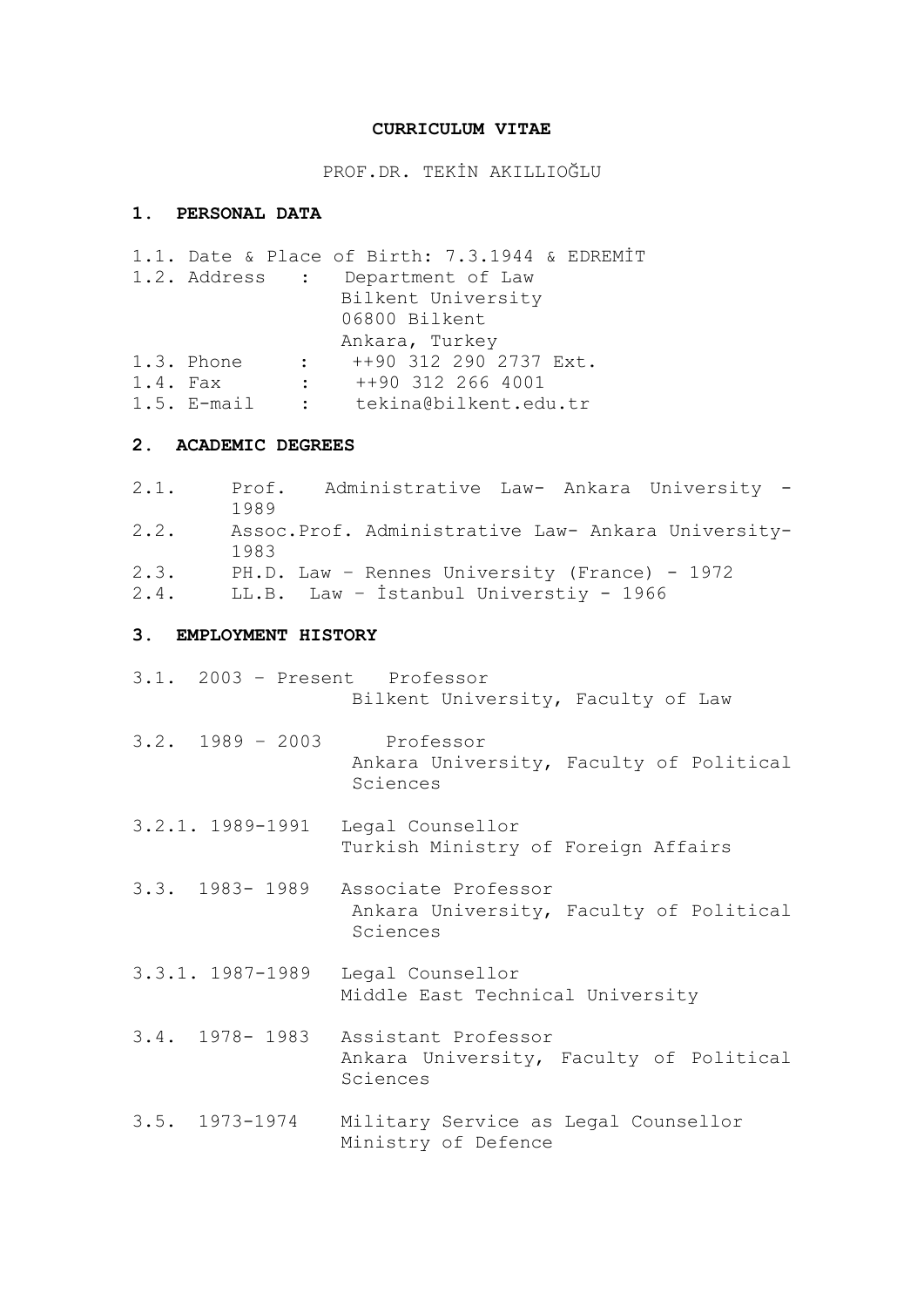### **CURRICULUM VITAE**

PROF.DR. TEKİN AKILLIOĞLU

# **1. PERSONAL DATA**

|            |               |                 | 1.1. Date & Place of Birth: 7.3.1944 & EDREMIT |
|------------|---------------|-----------------|------------------------------------------------|
|            |               |                 | 1.2. Address : Department of Law               |
|            |               |                 | Bilkent University                             |
|            |               |                 | 06800 Bilkent                                  |
|            |               |                 | Ankara, Turkey                                 |
|            | 1.3. Phone    | $\sim 10^{-10}$ | ++90 312 290 2737 Ext.                         |
| $1.4.$ Fax |               |                 | $\div$ ++90 312 266 4001                       |
|            | $1.5.$ E-mail |                 | : tekina@bilkent.edu.tr                        |
|            |               |                 |                                                |

### **2. ACADEMIC DEGREES**

2.1. Prof. Administrative Law- Ankara University - 1989 2.2. Assoc.Prof. Administrative Law- Ankara University-1983 2.3. PH.D. Law – Rennes University (France) - 1972 2.4. LL.B. Law – İstanbul Universtiy - 1966

# **3. EMPLOYMENT HISTORY**

|                    | 3.1. 2003 - Present Professor<br>Bilkent University, Faculty of Law                       |
|--------------------|-------------------------------------------------------------------------------------------|
|                    | 3.2. 1989 - 2003 Professor<br>Ankara University, Faculty of Political<br>Sciences         |
| $3.2.1.$ 1989-1991 | Legal Counsellor<br>Turkish Ministry of Foreign Affairs                                   |
|                    | 3.3. 1983-1989 Associate Professor<br>Ankara University, Faculty of Political<br>Sciences |
|                    | 3.3.1. 1987-1989 Legal Counsellor<br>Middle East Technical University                     |
|                    | 3.4. 1978-1983 Assistant Professor<br>Ankara University, Faculty of Political<br>Sciences |
| $3.5. 1973 - 1974$ | Military Service as Legal Counsellor<br>Ministry of Defence                               |